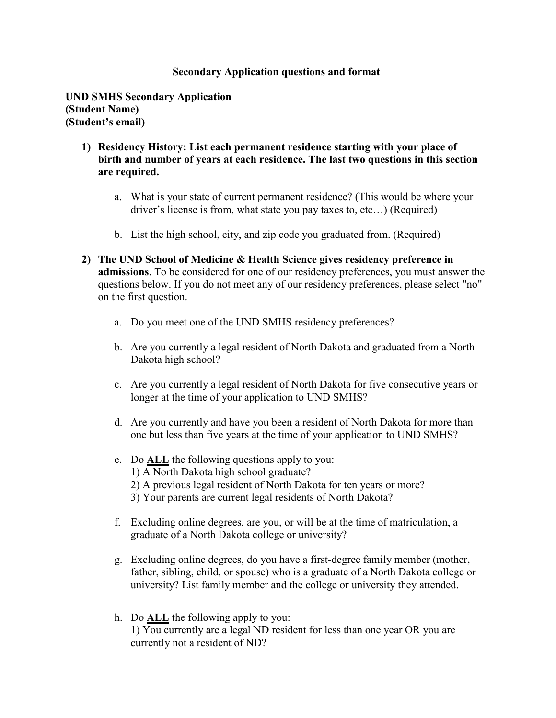## **Secondary Application questions and format**

**UND SMHS Secondary Application (Student Name) (Student's email)**

- **1) Residency History: List each permanent residence starting with your place of birth and number of years at each residence. The last two questions in this section are required.** 
	- a. What is your state of current permanent residence? (This would be where your driver's license is from, what state you pay taxes to, etc…) (Required)
	- b. List the high school, city, and zip code you graduated from. (Required)
- **2) The UND School of Medicine & Health Science gives residency preference in admissions**. To be considered for one of our residency preferences, you must answer the questions below. If you do not meet any of our residency preferences, please select "no" on the first question.
	- a. Do you meet one of the UND SMHS residency preferences?
	- b. Are you currently a legal resident of North Dakota and graduated from a North Dakota high school?
	- c. Are you currently a legal resident of North Dakota for five consecutive years or longer at the time of your application to UND SMHS?
	- d. Are you currently and have you been a resident of North Dakota for more than one but less than five years at the time of your application to UND SMHS?
	- e. Do **ALL** the following questions apply to you: 1) A North Dakota high school graduate? 2) A previous legal resident of North Dakota for ten years or more? 3) Your parents are current legal residents of North Dakota?
	- f. Excluding online degrees, are you, or will be at the time of matriculation, a graduate of a North Dakota college or university?
	- g. Excluding online degrees, do you have a first-degree family member (mother, father, sibling, child, or spouse) who is a graduate of a North Dakota college or university? List family member and the college or university they attended.
	- h. Do **ALL** the following apply to you: 1) You currently are a legal ND resident for less than one year OR you are currently not a resident of ND?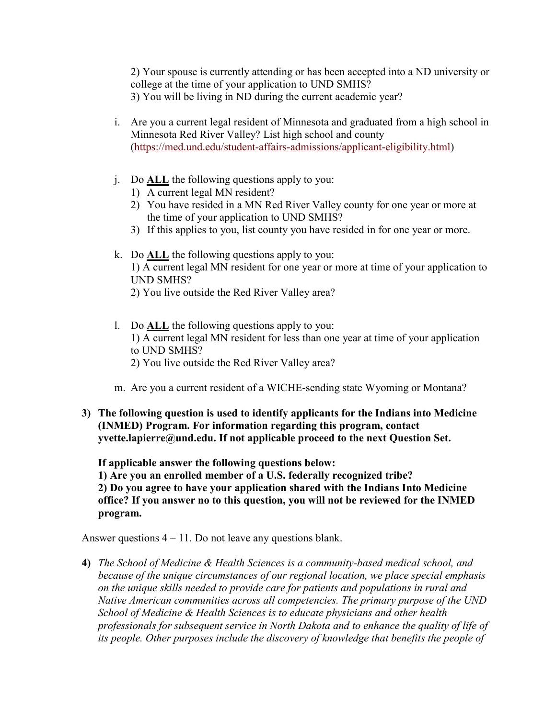2) Your spouse is currently attending or has been accepted into a ND university or college at the time of your application to UND SMHS? 3) You will be living in ND during the current academic year?

- i. Are you a current legal resident of Minnesota and graduated from a high school in Minnesota Red River Valley? List high school and county [\(https://med.und.edu/student-affairs-admissions/applicant-eligibility.html\)](https://med.und.edu/student-affairs-admissions/applicant-eligibility.html)
- j. Do **ALL** the following questions apply to you:
	- 1) A current legal MN resident?
	- 2) You have resided in a MN Red River Valley county for one year or more at the time of your application to UND SMHS?
	- 3) If this applies to you, list county you have resided in for one year or more.
- k. Do **ALL** the following questions apply to you: 1) A current legal MN resident for one year or more at time of your application to UND SMHS? 2) You live outside the Red River Valley area?
- l. Do **ALL** the following questions apply to you: 1) A current legal MN resident for less than one year at time of your application to UND SMHS? 2) You live outside the Red River Valley area?
- m. Are you a current resident of a WICHE-sending state Wyoming or Montana?
- **3) The following question is used to identify applicants for the Indians into Medicine (INMED) Program. For information regarding this program, contact yvette.lapierre@und.edu. If not applicable proceed to the next Question Set.**

**If applicable answer the following questions below: 1) Are you an enrolled member of a U.S. federally recognized tribe?** 

**2) Do you agree to have your application shared with the Indians Into Medicine office? If you answer no to this question, you will not be reviewed for the INMED program.**

Answer questions 4 – 11. Do not leave any questions blank.

**4)** *The School of Medicine & Health Sciences is a community-based medical school, and because of the unique circumstances of our regional location, we place special emphasis on the unique skills needed to provide care for patients and populations in rural and Native American communities across all competencies. The primary purpose of the UND School of Medicine & Health Sciences is to educate physicians and other health professionals for subsequent service in North Dakota and to enhance the quality of life of its people. Other purposes include the discovery of knowledge that benefits the people of*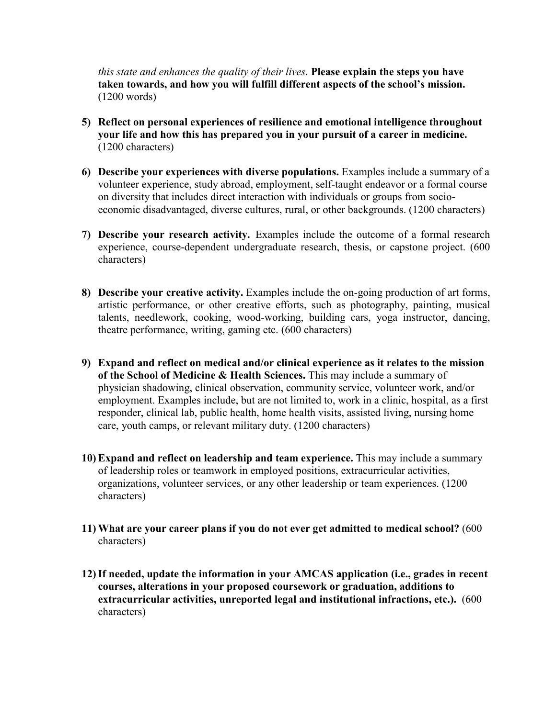*this state and enhances the quality of their lives.* **Please explain the steps you have taken towards, and how you will fulfill different aspects of the school's mission.**  (1200 words)

- **5) Reflect on personal experiences of resilience and emotional intelligence throughout your life and how this has prepared you in your pursuit of a career in medicine.** (1200 characters)
- **6) Describe your experiences with diverse populations.** Examples include a summary of a volunteer experience, study abroad, employment, self-taught endeavor or a formal course on diversity that includes direct interaction with individuals or groups from socioeconomic disadvantaged, diverse cultures, rural, or other backgrounds. (1200 characters)
- **7) Describe your research activity.** Examples include the outcome of a formal research experience, course-dependent undergraduate research, thesis, or capstone project. (600 characters)
- **8) Describe your creative activity.** Examples include the on-going production of art forms, artistic performance, or other creative efforts, such as photography, painting, musical talents, needlework, cooking, wood-working, building cars, yoga instructor, dancing, theatre performance, writing, gaming etc. (600 characters)
- **9) Expand and reflect on medical and/or clinical experience as it relates to the mission of the School of Medicine & Health Sciences.** This may include a summary of physician shadowing, clinical observation, community service, volunteer work, and/or employment. Examples include, but are not limited to, work in a clinic, hospital, as a first responder, clinical lab, public health, home health visits, assisted living, nursing home care, youth camps, or relevant military duty. (1200 characters)
- **10) Expand and reflect on leadership and team experience.** This may include a summary of leadership roles or teamwork in employed positions, extracurricular activities, organizations, volunteer services, or any other leadership or team experiences. (1200 characters)
- **11) What are your career plans if you do not ever get admitted to medical school?** (600 characters)
- **12)If needed, update the information in your AMCAS application (i.e., grades in recent courses, alterations in your proposed coursework or graduation, additions to extracurricular activities, unreported legal and institutional infractions, etc.).** (600 characters)